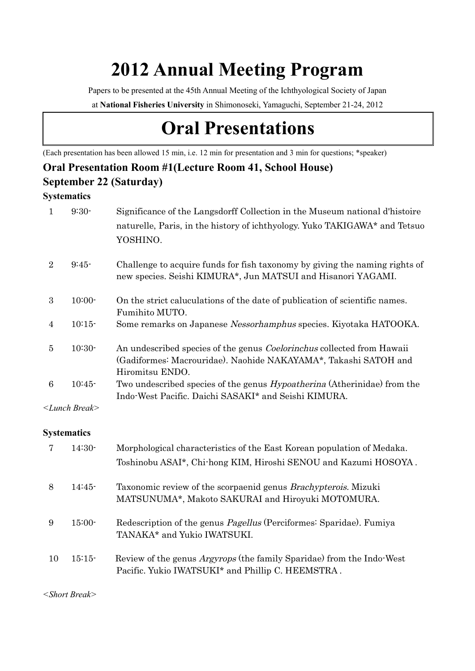## **2012 Annual Meeting Program**

Papers to be presented at the 45th Annual Meeting of the Ichthyological Society of Japan

at **National Fisheries University** in Shimonoseki, Yamaguchi, September 21-24, 2012

## **Oral Presentations**

(Each presentation has been allowed 15 min, i.e. 12 min for presentation and 3 min for questions; \*speaker)

## **Oral Presentation Room #1(Lecture Room 41, School House)**

#### **September 22 (Saturday)**

#### **Systematics**

|                | $9:30-$                  | Significance of the Langsdorff Collection in the Museum national d'histoire<br>naturelle, Paris, in the history of ichthyology. Yuko TAKIGAWA* and Tetsuo<br>YOSHINO. |
|----------------|--------------------------|-----------------------------------------------------------------------------------------------------------------------------------------------------------------------|
| $\overline{2}$ | $9:45-$                  | Challenge to acquire funds for fish taxonomy by giving the naming rights of<br>new species. Seishi KIMURA*, Jun MATSUI and Hisanori YAGAMI.                           |
| 3              | $10:00-$                 | On the strict caluculations of the date of publication of scientific names.<br>Fumihito MUTO.                                                                         |
| 4              | $10:15-$                 | Some remarks on Japanese Nessorhamphus species. Kiyotaka HATOOKA.                                                                                                     |
| 5              | $10:30-$                 | An undescribed species of the genus Coelorinchus collected from Hawaii<br>(Gadiformes: Macrouridae). Naohide NAKAYAMA*, Takashi SATOH and<br>Hiromitsu ENDO.          |
| 6              | $10:45-$                 | Two undescribed species of the genus <i>Hypoatherina</i> (Atherinidae) from the<br>Indo-West Pacific. Daichi SASAKI* and Seishi KIMURA.                               |
|                | <lunch break=""></lunch> |                                                                                                                                                                       |

#### **Systematics**

|    | $14:30-$ | Morphological characteristics of the East Korean population of Medaka.<br>Toshinobu ASAI*, Chi-hong KIM, Hiroshi SENOU and Kazumi HOSOYA. |
|----|----------|-------------------------------------------------------------------------------------------------------------------------------------------|
| 8  | $14:45-$ | Taxonomic review of the scorpaenid genus <i>Brachypterois</i> . Mizuki<br>MATSUNUMA*, Makoto SAKURAI and Hiroyuki MOTOMURA.               |
| 9  | $15:00-$ | Redescription of the genus <i>Pagellus</i> (Perciformes: Sparidae). Fumiya<br>TANAKA* and Yukio IWATSUKI.                                 |
| 10 | $15:15-$ | Review of the genus <i>Argyrops</i> (the family Sparidae) from the Indo-West<br>Pacific. Yukio IWATSUKI* and Phillip C. HEEMSTRA.         |

*<Short Break>*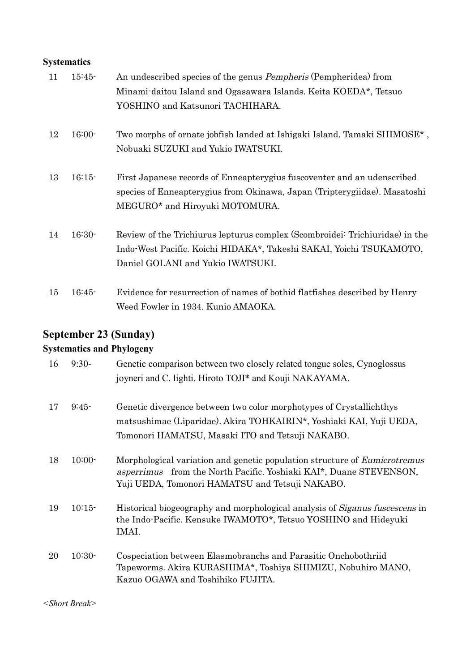### **Systematics**

| 11 | $15:45-$ | An undescribed species of the genus <i>Pempheris</i> (Pempheridea) from                                                                                                                  |
|----|----------|------------------------------------------------------------------------------------------------------------------------------------------------------------------------------------------|
|    |          | Minami-daitou Island and Ogasawara Islands. Keita KOEDA*, Tetsuo                                                                                                                         |
|    |          | YOSHINO and Katsunori TACHIHARA.                                                                                                                                                         |
| 12 | $16:00-$ | Two morphs of ornate jobfish landed at Ishigaki Island. Tamaki SHIMOSE <sup>*</sup> ,<br>Nobuaki SUZUKI and Yukio IWATSUKI.                                                              |
| 13 | $16:15-$ | First Japanese records of Enneaptery gius fuscoventer and an udenscribed<br>species of Enneapterygius from Okinawa, Japan (Tripterygiidae). Masatoshi<br>MEGURO* and Hiroyuki MOTOMURA.  |
| 14 | $16:30-$ | Review of the Trichiurus lepturus complex (Scombroidei: Trichiuridae) in the<br>Indo-West Pacific. Koichi HIDAKA*, Takeshi SAKAI, Yoichi TSUKAMOTO,<br>Daniel GOLANI and Yukio IWATSUKI. |
| 15 | $16:45-$ | Evidence for resurrection of names of bothid flatfishes described by Henry<br>Weed Fowler in 1934. Kunio AMAOKA.                                                                         |

## **September 23 (Sunday)**

## **Systematics and Phylogeny**

| 16 | $9:30-$  | Genetic comparison between two closely related tongue soles, Cynoglossus<br>joyneri and C. lighti. Hiroto TOJI* and Kouji NAKAYAMA.                                                                              |
|----|----------|------------------------------------------------------------------------------------------------------------------------------------------------------------------------------------------------------------------|
| 17 | $9:45-$  | Genetic divergence between two color morphotypes of Crystallichthys<br>matsushimae (Liparidae). Akira TOHKAIRIN*, Yoshiaki KAI, Yuji UEDA,<br>Tomonori HAMATSU, Masaki ITO and Tetsuji NAKABO.                   |
| 18 | $10:00-$ | Morphological variation and genetic population structure of <i>Eumicrotremus</i><br><i>asperrimus</i> from the North Pacific. Yoshiaki KAI*, Duane STEVENSON,<br>Yuji UEDA, Tomonori HAMATSU and Tetsuji NAKABO. |
| 19 | 10:15    | Historical biogeography and morphological analysis of <i>Siganus fuscescens</i> in<br>the Indo-Pacific. Kensuke IWAMOTO*, Tetsuo YOSHINO and Hideyuki<br>IMAI.                                                   |
| 20 | $10:30-$ | Cospeciation between Elasmobranchs and Parasitic Onchobothriid<br>Tapeworms. Akira KURASHIMA*, Toshiya SHIMIZU, Nobuhiro MANO,<br>Kazuo OGAWA and Toshihiko FUJITA.                                              |

*<Short Break>*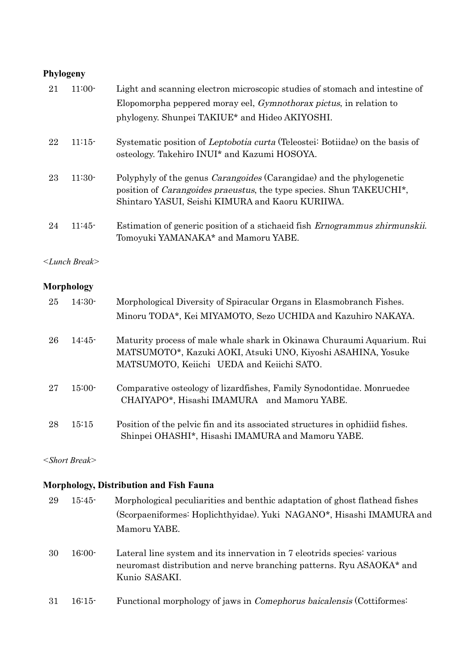#### **Phylogeny**

| 21 | $11:00-$ | Light and scanning electron microscopic studies of stomach and intestine of                                                                                                                                                  |
|----|----------|------------------------------------------------------------------------------------------------------------------------------------------------------------------------------------------------------------------------------|
|    |          | Elopomorpha peppered moray eel, <i>Gymnothorax pictus</i> , in relation to                                                                                                                                                   |
|    |          | phylogeny. Shunpei TAKIUE* and Hideo AKIYOSHI.                                                                                                                                                                               |
| 22 | 11:15    | Systematic position of Leptobotia curta (Teleostei: Botiidae) on the basis of<br>osteology. Takehiro INUI* and Kazumi HOSOYA.                                                                                                |
| 23 | $11:30-$ | Polyphyly of the genus <i>Carangoides</i> (Carangidae) and the phylogenetic<br>position of <i>Carangoides praeustus</i> , the type species. Shun TAKEUCHI <sup>*</sup> ,<br>Shintaro YASUI, Seishi KIMURA and Kaoru KURIIWA. |
| 24 | $11:45-$ | Estimation of generic position of a stichaeid fish Ernogrammus zhirmunskii.<br>Tomoyuki YAMANAKA* and Mamoru YABE.                                                                                                           |

*<Lunch Break>*

#### **Morphology**

| 25 | $14:30-$ | Morphological Diversity of Spiracular Organs in Elasmobranch Fishes.                                                                                                                |
|----|----------|-------------------------------------------------------------------------------------------------------------------------------------------------------------------------------------|
|    |          | Minoru TODA*, Kei MIYAMOTO, Sezo UCHIDA and Kazuhiro NAKAYA.                                                                                                                        |
| 26 | $14:45-$ | Maturity process of male whale shark in Okinawa Churaumi Aquarium. Rui<br>MATSUMOTO*, Kazuki AOKI, Atsuki UNO, Kiyoshi ASAHINA, Yosuke<br>MATSUMOTO, Keiichi UEDA and Keiichi SATO. |
| 27 | $15:00-$ | Comparative osteology of lizardfishes, Family Synodontidae. Monruedee<br>CHAIYAPO*, Hisashi IMAMURA and Mamoru YABE.                                                                |
| 28 | 15:15    | Position of the pelvic fin and its associated structures in ophidiid fishes.<br>Shinpei OHASHI*, Hisashi IMAMURA and Mamoru YABE.                                                   |

*<Short Break>*

#### **Morphology, Distribution and Fish Fauna**

| 29 | $15:45-$ | Morphological peculiarities and benthic adaptation of ghost flathead fishes<br>(Scorpaeniformes: Hoplichthyidae). Yuki NAGANO*, Hisashi IMAMURA and<br>Mamoru YABE. |
|----|----------|---------------------------------------------------------------------------------------------------------------------------------------------------------------------|
| 30 | $16:00-$ | Lateral line system and its innervation in 7 electrids species: various<br>neuromast distribution and nerve branching patterns. Ryu ASAOKA* and<br>Kunio SASAKI.    |

31 16:15- Functional morphology of jaws in Comephorus baicalensis (Cottiformes: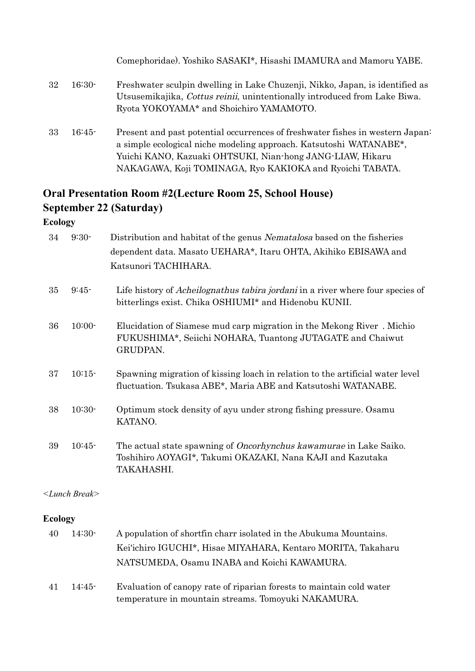|    |          | Comephoridae). Yoshiko SASAKI*, Hisashi IMAMURA and Mamoru YABE.                                                                                                                                                                                                             |
|----|----------|------------------------------------------------------------------------------------------------------------------------------------------------------------------------------------------------------------------------------------------------------------------------------|
| 32 | $16:30-$ | Freshwater sculpin dwelling in Lake Chuzenji, Nikko, Japan, is identified as<br>Utsusemikajika, <i>Cottus reinii</i> , unintentionally introduced from Lake Biwa.<br>Ryota YOKOYAMA* and Shoichiro YAMAMOTO.                                                                 |
| 33 | $16:45-$ | Present and past potential occurrences of freshwater fishes in western Japan:<br>a simple ecological niche modeling approach. Katsutoshi WATANABE*,<br>Yuichi KANO, Kazuaki OHTSUKI, Nian-hong JANG-LIAW, Hikaru<br>NAKAGAWA, Koji TOMINAGA, Ryo KAKIOKA and Ryoichi TABATA. |

## **Oral Presentation Room #2(Lecture Room 25, School House) September 22 (Saturday)**

**Ecology**

| 34      | $9:30-$                | Distribution and habitat of the genus Nematalosa based on the fisheries<br>dependent data. Masato UEHARA*, Itaru OHTA, Akihiko EBISAWA and<br>Katsunori TACHIHARA.               |
|---------|------------------------|----------------------------------------------------------------------------------------------------------------------------------------------------------------------------------|
| 35      | $9:45-$                | Life history of <i>Acheilognathus tabira jordani</i> in a river where four species of<br>bitterlings exist. Chika OSHIUMI* and Hidenobu KUNII.                                   |
| 36      | $10:00 -$              | Elucidation of Siamese mud carp migration in the Mekong River. Michio<br>FUKUSHIMA*, Seiichi NOHARA, Tuantong JUTAGATE and Chaiwut<br>GRUDPAN.                                   |
| 37      | $10:15-$               | Spawning migration of kissing loach in relation to the artificial water level<br>fluctuation. Tsukasa ABE*, Maria ABE and Katsutoshi WATANABE.                                   |
| 38      | $10:30-$               | Optimum stock density of ayu under strong fishing pressure. Osamu<br>KATANO.                                                                                                     |
| 39      | $10:45-$               | The actual state spawning of <i>Oncorhynchus kawamurae</i> in Lake Saiko.<br>Toshihiro AOYAGI*, Takumi OKAZAKI, Nana KAJI and Kazutaka<br>TAKAHASHI.                             |
|         | $\leq$ Lunch Break $>$ |                                                                                                                                                                                  |
| Ecology |                        |                                                                                                                                                                                  |
| 40      | $14:30-$               | A population of shortfin charr isolated in the Abukuma Mountains.<br>Kei'ichiro IGUCHI*, Hisae MIYAHARA, Kentaro MORITA, Takaharu<br>NATSUMEDA, Osamu INABA and Koichi KAWAMURA. |
|         |                        |                                                                                                                                                                                  |

41 14:45- Evaluation of canopy rate of riparian forests to maintain cold water temperature in mountain streams. Tomoyuki NAKAMURA.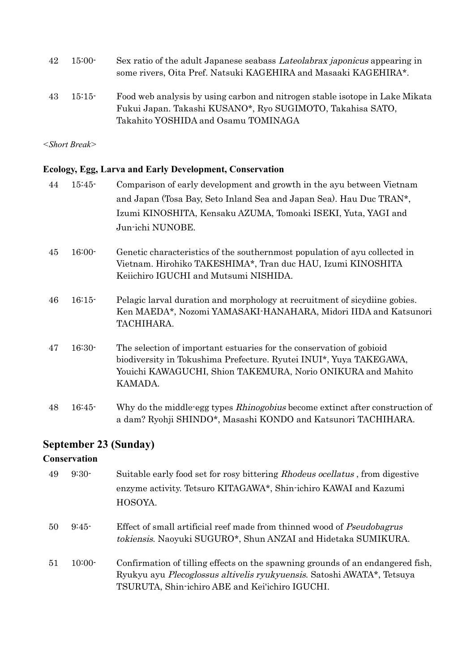| 42 | $15:00-$ | Sex ratio of the adult Japanese seabass <i>Lateolabrax japonicus</i> appearing in<br>some rivers, Oita Pref. Natsuki KAGEHIRA and Masaaki KAGEHIRA*. |
|----|----------|------------------------------------------------------------------------------------------------------------------------------------------------------|
| 43 | $15:15-$ | Food web analysis by using carbon and nitrogen stable isotope in Lake Mikata<br>Fukui Japan. Takashi KUSANO*, Ryo SUGIMOTO, Takahisa SATO,           |
|    |          | Takahito YOSHIDA and Osamu TOMINAGA                                                                                                                  |

*<Short Break>*

#### **Ecology, Egg, Larva and Early Development, Conservation**

| 44 | $15:45-$ | Comparison of early development and growth in the ayu between Vietnam                                                                                                                                                |
|----|----------|----------------------------------------------------------------------------------------------------------------------------------------------------------------------------------------------------------------------|
|    |          | and Japan (Tosa Bay, Seto Inland Sea and Japan Sea). Hau Duc TRAN*,                                                                                                                                                  |
|    |          | Izumi KINOSHITA, Kensaku AZUMA, Tomoaki ISEKI, Yuta, YAGI and                                                                                                                                                        |
|    |          | Jun-ichi NUNOBE.                                                                                                                                                                                                     |
| 45 | $16:00-$ | Genetic characteristics of the southernmost population of ayu collected in<br>Vietnam. Hirohiko TAKESHIMA*, Tran duc HAU, Izumi KINOSHITA<br>Keiichiro IGUCHI and Mutsumi NISHIDA.                                   |
| 46 | 16:15    | Pelagic larval duration and morphology at recruitment of sicydiine gobies.<br>Ken MAEDA*, Nozomi YAMASAKI-HANAHARA, Midori IIDA and Katsunori<br>TACHIHARA.                                                          |
| 47 | $16:30-$ | The selection of important estuaries for the conservation of gobioid<br>biodiversity in Tokushima Prefecture. Ryutei INUI*, Yuya TAKEGAWA,<br>Youichi KAWAGUCHI, Shion TAKEMURA, Norio ONIKURA and Mahito<br>KAMADA. |
| 48 | $16:45-$ | Why do the middle-egg types <i>Rhinogobius</i> become extinct after construction of<br>a dam? Ryohji SHINDO*, Masashi KONDO and Katsunori TACHIHARA.                                                                 |

## **September 23 (Sunday)**

#### **Conservation**

| 49 | $9:30-$  | Suitable early food set for rosy bittering Rhodeus ocellatus, from digestive<br>enzyme activity. Tetsuro KITAGAWA*, Shin-ichiro KAWAI and Kazumi<br>HOSOYA.                                                         |
|----|----------|---------------------------------------------------------------------------------------------------------------------------------------------------------------------------------------------------------------------|
| 50 | $9:45-$  | Effect of small artificial reef made from thinned wood of <i>Pseudobagrus</i><br>tokiensis. Naoyuki SUGURO*, Shun ANZAI and Hidetaka SUMIKURA.                                                                      |
| 51 | $10:00-$ | Confirmation of tilling effects on the spawning grounds of an endangered fish,<br>Ryukyu ayu <i>Plecoglossus altivelis ryukyuensis</i> . Satoshi AWATA*, Tetsuya<br>TSURUTA, Shin-ichiro ABE and Kei'ichiro IGUCHI. |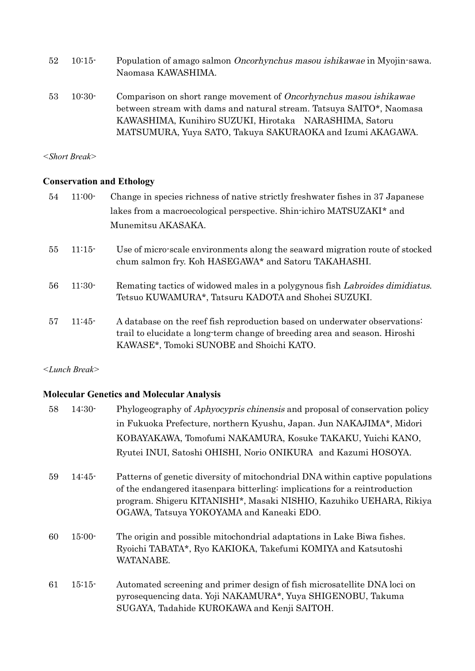| $52\,$ | $10:15-$ | Population of amago salmon <i>Oncorhynchus masou ishikawae</i> in Myojin-sawa. |
|--------|----------|--------------------------------------------------------------------------------|
|        |          | Naomasa KAWASHIMA.                                                             |
|        |          |                                                                                |

53 10:30- Comparison on short range movement of Oncorhynchus masou ishikawae between stream with dams and natural stream. Tatsuya SAITO\*, Naomasa KAWASHIMA, Kunihiro SUZUKI, Hirotaka NARASHIMA, Satoru MATSUMURA, Yuya SATO, Takuya SAKURAOKA and Izumi AKAGAWA.

*<Short Break>*

#### **Conservation and Ethology**

| 54 | $11:00-$ | Change in species richness of native strictly freshwater fishes in 37 Japanese<br>lakes from a macroecological perspective. Shin-ichiro MATSUZAKI* and                                               |
|----|----------|------------------------------------------------------------------------------------------------------------------------------------------------------------------------------------------------------|
|    |          | Munemitsu AKASAKA.                                                                                                                                                                                   |
| 55 | 11:15    | Use of micro-scale environments along the seaward migration route of stocked<br>chum salmon fry. Koh HASEGAWA* and Satoru TAKAHASHI.                                                                 |
| 56 | $11:30-$ | Remating tactics of widowed males in a polygynous fish Labroides dimidiatus.<br>Tetsuo KUWAMURA*, Tatsuru KADOTA and Shohei SUZUKI.                                                                  |
| 57 | $11:45-$ | A database on the reef fish reproduction based on underwater observations:<br>trail to elucidate a long-term change of breeding area and season. Hiroshi<br>KAWASE*, Tomoki SUNOBE and Shoichi KATO. |

*<Lunch Break>*

#### **Molecular Genetics and Molecular Analysis**

| 58 | $14:30-$ | Phylogeography of <i>Aphyocypris chinensis</i> and proposal of conservation policy                                                                                                                                                                                             |
|----|----------|--------------------------------------------------------------------------------------------------------------------------------------------------------------------------------------------------------------------------------------------------------------------------------|
|    |          | in Fukuoka Prefecture, northern Kyushu, Japan. Jun NAKAJIMA*, Midori                                                                                                                                                                                                           |
|    |          | KOBAYAKAWA, Tomofumi NAKAMURA, Kosuke TAKAKU, Yuichi KANO,                                                                                                                                                                                                                     |
|    |          | Ryutei INUI, Satoshi OHISHI, Norio ONIKURA and Kazumi HOSOYA.                                                                                                                                                                                                                  |
| 59 | $14:45-$ | Patterns of genetic diversity of mitochondrial DNA within captive populations<br>of the endangered its enpara bitterling: implications for a reintroduction<br>program. Shigeru KITANISHI*, Masaki NISHIO, Kazuhiko UEHARA, Rikiya<br>OGAWA, Tatsuya YOKOYAMA and Kaneaki EDO. |
| 60 | $15:00-$ | The origin and possible mitochondrial adaptations in Lake Biwa fishes.<br>Ryoichi TABATA*, Ryo KAKIOKA, Takefumi KOMIYA and Katsutoshi<br>WATANABE.                                                                                                                            |
| 61 | 15:15    | Automated screening and primer design of fish microsatellite DNA loci on<br>pyrosequencing data. Yoji NAKAMURA*, Yuya SHIGENOBU, Takuma<br>SUGAYA, Tadahide KUROKAWA and Kenji SAITOH.                                                                                         |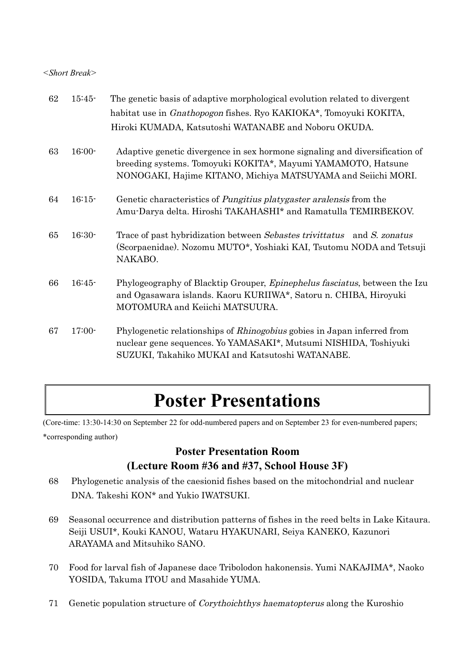#### *<Short Break>*

| 62 | $15:45-$ | The genetic basis of adaptive morphological evolution related to divergent                                                                                                                                  |
|----|----------|-------------------------------------------------------------------------------------------------------------------------------------------------------------------------------------------------------------|
|    |          | habitat use in <i>Gnathopogon</i> fishes. Ryo KAKIOKA*, Tomoyuki KOKITA,                                                                                                                                    |
|    |          | Hiroki KUMADA, Katsutoshi WATANABE and Noboru OKUDA.                                                                                                                                                        |
| 63 | $16:00-$ | Adaptive genetic divergence in sex hormone signaling and diversification of<br>breeding systems. Tomoyuki KOKITA*, Mayumi YAMAMOTO, Hatsune<br>NONOGAKI, Hajime KITANO, Michiya MATSUYAMA and Seiichi MORI. |
| 64 | $16:15-$ | Genetic characteristics of <i>Pungitius platygaster aralensis</i> from the<br>Amu-Darya delta. Hiroshi TAKAHASHI* and Ramatulla TEMIRBEKOV.                                                                 |
| 65 | $16:30-$ | Trace of past hybridization between Sebastes trivitatus and S. zonatus<br>(Scorpaenidae). Nozomu MUTO*, Yoshiaki KAI, Tsutomu NODA and Tetsuji<br>NAKABO.                                                   |
| 66 | $16:45-$ | Phylogeography of Blacktip Grouper, <i>Epinephelus fasciatus</i> , between the Izu<br>and Ogasawara islands. Kaoru KURIIWA*, Satoru n. CHIBA, Hiroyuki<br>MOTOMURA and Keiichi MATSUURA.                    |
| 67 | $17:00-$ | Phylogenetic relationships of <i>Rhinogobius</i> gobies in Japan inferred from<br>nuclear gene sequences. Yo YAMASAKI*, Mutsumi NISHIDA, Toshiyuki<br>SUZUKI, Takahiko MUKAI and Katsutoshi WATANABE.       |

## **Poster Presentations**

(Core-time: 13:30-14:30 on September 22 for odd-numbered papers and on September 23 for even-numbered papers; \*corresponding author)

### **Poster Presentation Room (Lecture Room #36 and #37, School House 3F)**

- 68 Phylogenetic analysis of the caesionid fishes based on the mitochondrial and nuclear DNA. Takeshi KON\* and Yukio IWATSUKI.
- 69 Seasonal occurrence and distribution patterns of fishes in the reed belts in Lake Kitaura. Seiji USUI\*, Kouki KANOU, Wataru HYAKUNARI, Seiya KANEKO, Kazunori ARAYAMA and Mitsuhiko SANO.
- 70 Food for larval fish of Japanese dace Tribolodon hakonensis. Yumi NAKAJIMA\*, Naoko YOSIDA, Takuma ITOU and Masahide YUMA.
- 71 Genetic population structure of Corythoichthys haematopterus along the Kuroshio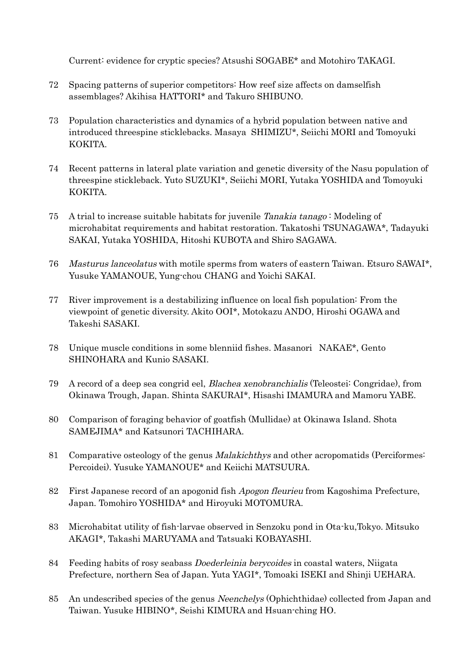Current: evidence for cryptic species? Atsushi SOGABE\* and Motohiro TAKAGI.

- 72 Spacing patterns of superior competitors: How reef size affects on damselfish assemblages? Akihisa HATTORI\* and Takuro SHIBUNO.
- 73 Population characteristics and dynamics of a hybrid population between native and introduced threespine sticklebacks. Masaya SHIMIZU\*, Seiichi MORI and Tomoyuki KOKITA.
- 74 Recent patterns in lateral plate variation and genetic diversity of the Nasu population of threespine stickleback. Yuto SUZUKI\*, Seiichi MORI, Yutaka YOSHIDA and Tomoyuki KOKITA.
- 75 A trial to increase suitable habitats for juvenile Tanakia tanago : Modeling of microhabitat requirements and habitat restoration. Takatoshi TSUNAGAWA\*, Tadayuki SAKAI, Yutaka YOSHIDA, Hitoshi KUBOTA and Shiro SAGAWA.
- 76 Masturus lanceolatus with motile sperms from waters of eastern Taiwan. Etsuro SAWAI\*, Yusuke YAMANOUE, Yung-chou CHANG and Yoichi SAKAI.
- 77 River improvement is a destabilizing influence on local fish population: From the viewpoint of genetic diversity. Akito OOI\*, Motokazu ANDO, Hiroshi OGAWA and Takeshi SASAKI.
- 78 Unique muscle conditions in some blenniid fishes. Masanori NAKAE\*, Gento SHINOHARA and Kunio SASAKI.
- 79 A record of a deep sea congrid eel, Blachea xenobranchialis (Teleostei: Congridae), from Okinawa Trough, Japan. Shinta SAKURAI\*, Hisashi IMAMURA and Mamoru YABE.
- 80 Comparison of foraging behavior of goatfish (Mullidae) at Okinawa Island. Shota SAMEJIMA\* and Katsunori TACHIHARA.
- 81 Comparative osteology of the genus Malakichthys and other acropomatids (Perciformes: Percoidei). Yusuke YAMANOUE\* and Keiichi MATSUURA.
- 82 First Japanese record of an apogonid fish Apogon fleurieu from Kagoshima Prefecture, Japan. Tomohiro YOSHIDA\* and Hiroyuki MOTOMURA.
- 83 Microhabitat utility of fish-larvae observed in Senzoku pond in Ota-ku,Tokyo. Mitsuko AKAGI\*, Takashi MARUYAMA and Tatsuaki KOBAYASHI.
- 84 Feeding habits of rosy seabass Doederleinia berycoides in coastal waters, Niigata Prefecture, northern Sea of Japan. Yuta YAGI\*, Tomoaki ISEKI and Shinji UEHARA.
- 85 An undescribed species of the genus *Neenchelys* (Ophichthidae) collected from Japan and Taiwan. Yusuke HIBINO\*, Seishi KIMURA and Hsuan-ching HO.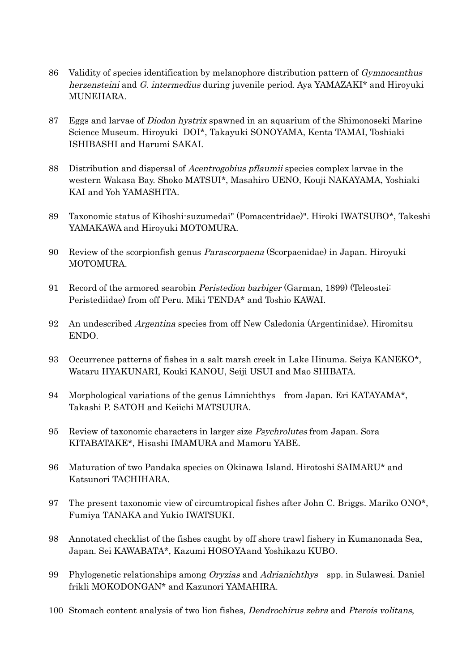- 86 Validity of species identification by melanophore distribution pattern of Gymnocanthus herzensteini and G. intermedius during juvenile period. Aya YAMAZAKI\* and Hiroyuki MUNEHARA.
- 87 Eggs and larvae of Diodon hystrix spawned in an aquarium of the Shimonoseki Marine Science Museum. Hiroyuki DOI\*, Takayuki SONOYAMA, Kenta TAMAI, Toshiaki ISHIBASHI and Harumi SAKAI.
- 88 Distribution and dispersal of *Acentrogobius pflaumii* species complex larvae in the western Wakasa Bay. Shoko MATSUI\*, Masahiro UENO, Kouji NAKAYAMA, Yoshiaki KAI and Yoh YAMASHITA.
- 89 Taxonomic status of Kihoshi-suzumedai" (Pomacentridae)". Hiroki IWATSUBO\*, Takeshi YAMAKAWA and Hiroyuki MOTOMURA.
- 90 Review of the scorpionfish genus Parascorpaena (Scorpaenidae) in Japan. Hiroyuki MOTOMURA.
- 91 Record of the armored searobin Peristedion barbiger (Garman, 1899) (Teleostei: Peristediidae) from off Peru. Miki TENDA\* and Toshio KAWAI.
- 92 An undescribed Argentina species from off New Caledonia (Argentinidae). Hiromitsu ENDO.
- 93 Occurrence patterns of fishes in a salt marsh creek in Lake Hinuma. Seiya KANEKO\*, Wataru HYAKUNARI, Kouki KANOU, Seiji USUI and Mao SHIBATA.
- 94 Morphological variations of the genus Limnichthys from Japan. Eri KATAYAMA\*, Takashi P. SATOH and Keiichi MATSUURA.
- 95 Review of taxonomic characters in larger size Psychrolutes from Japan. Sora KITABATAKE\*, Hisashi IMAMURA and Mamoru YABE.
- 96 Maturation of two Pandaka species on Okinawa Island. Hirotoshi SAIMARU\* and Katsunori TACHIHARA.
- 97 The present taxonomic view of circumtropical fishes after John C. Briggs. Mariko ONO\*, Fumiya TANAKA and Yukio IWATSUKI.
- 98 Annotated checklist of the fishes caught by off shore trawl fishery in Kumanonada Sea, Japan. Sei KAWABATA\*, Kazumi HOSOYAand Yoshikazu KUBO.
- 99 Phylogenetic relationships among Oryzias and Adrianichthys spp. in Sulawesi. Daniel frikli MOKODONGAN\* and Kazunori YAMAHIRA.
- 100 Stomach content analysis of two lion fishes, Dendrochirus zebra and Pterois volitans,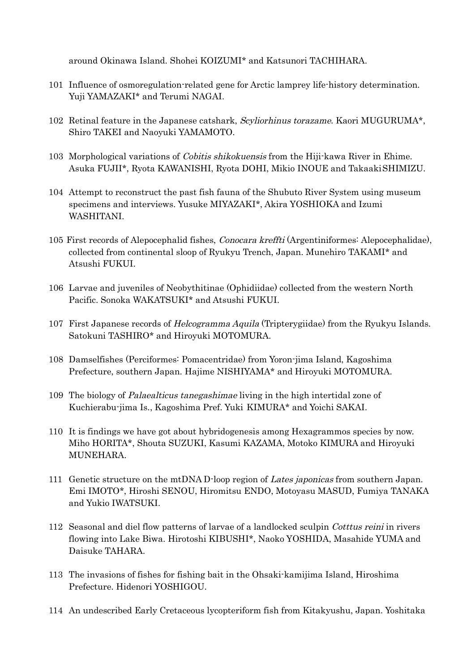around Okinawa Island. Shohei KOIZUMI\* and Katsunori TACHIHARA.

- 101 Influence of osmoregulation-related gene for Arctic lamprey life-history determination. Yuji YAMAZAKI\* and Terumi NAGAI.
- 102 Retinal feature in the Japanese catshark, Scyliorhinus torazame. Kaori MUGURUMA<sup>\*</sup>, Shiro TAKEI and Naoyuki YAMAMOTO.
- 103 Morphological variations of *Cobitis shikokuensis* from the Hiji-kawa River in Ehime. Asuka FUJII\*, Ryota KAWANISHI, Ryota DOHI, Mikio INOUE and TakaakiSHIMIZU.
- 104 Attempt to reconstruct the past fish fauna of the Shubuto River System using museum specimens and interviews. Yusuke MIYAZAKI\*, Akira YOSHIOKA and Izumi WASHITANI.
- 105 First records of Alepocephalid fishes, Conocara kreffti (Argentiniformes: Alepocephalidae), collected from continental sloop of Ryukyu Trench, Japan. Munehiro TAKAMI\* and Atsushi FUKUI.
- 106 Larvae and juveniles of Neobythitinae (Ophidiidae) collected from the western North Pacific. Sonoka WAKATSUKI\* and Atsushi FUKUI.
- 107 First Japanese records of *Helcogramma Aquila* (Tripterygiidae) from the Ryukyu Islands. Satokuni TASHIRO\* and Hiroyuki MOTOMURA.
- 108 Damselfishes (Perciformes: Pomacentridae) from Yoron-jima Island, Kagoshima Prefecture, southern Japan. Hajime NISHIYAMA\* and Hiroyuki MOTOMURA.
- 109 The biology of Palaealticus tanegashimae living in the high intertidal zone of Kuchierabu-jima Is., Kagoshima Pref. Yuki KIMURA\* and Yoichi SAKAI.
- 110 It is findings we have got about hybridogenesis among Hexagrammos species by now. Miho HORITA\*, Shouta SUZUKI, Kasumi KAZAMA, Motoko KIMURA and Hiroyuki MUNEHARA.
- 111 Genetic structure on the mtDNA D-loop region of Lates japonicas from southern Japan. Emi IMOTO\*, Hiroshi SENOU, Hiromitsu ENDO, Motoyasu MASUD, Fumiya TANAKA and Yukio IWATSUKI.
- 112 Seasonal and diel flow patterns of larvae of a landlocked sculpin Cotttus reini in rivers flowing into Lake Biwa. Hirotoshi KIBUSHI\*, Naoko YOSHIDA, Masahide YUMA and Daisuke TAHARA.
- 113 The invasions of fishes for fishing bait in the Ohsaki-kamijima Island, Hiroshima Prefecture. Hidenori YOSHIGOU.
- 114 An undescribed Early Cretaceous lycopteriform fish from Kitakyushu, Japan. Yoshitaka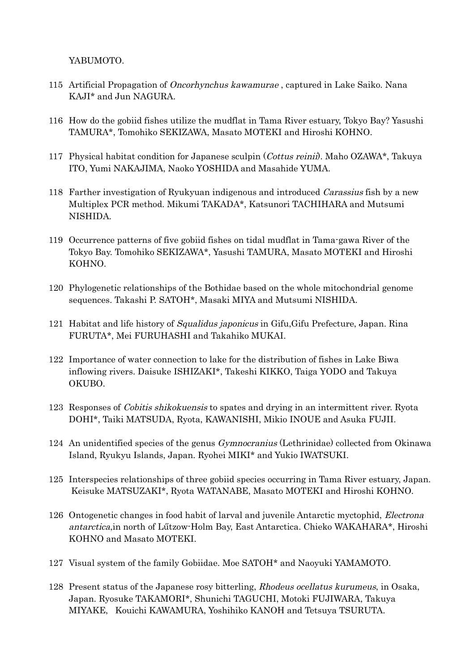YABUMOTO.

- 115 Artificial Propagation of Oncorhynchus kawamurae , captured in Lake Saiko. Nana KAJI\* and Jun NAGURA.
- 116 How do the gobiid fishes utilize the mudflat in Tama River estuary, Tokyo Bay? Yasushi TAMURA\*, Tomohiko SEKIZAWA, Masato MOTEKI and Hiroshi KOHNO.
- 117 Physical habitat condition for Japanese sculpin (Cottus reinii). Maho OZAWA\*, Takuya ITO, Yumi NAKAJIMA, Naoko YOSHIDA and Masahide YUMA.
- 118 Farther investigation of Ryukyuan indigenous and introduced *Carassius* fish by a new Multiplex PCR method. Mikumi TAKADA\*, Katsunori TACHIHARA and Mutsumi NISHIDA.
- 119 Occurrence patterns of five gobiid fishes on tidal mudflat in Tama-gawa River of the Tokyo Bay. Tomohiko SEKIZAWA\*, Yasushi TAMURA, Masato MOTEKI and Hiroshi KOHNO.
- 120 Phylogenetic relationships of the Bothidae based on the whole mitochondrial genome sequences. Takashi P. SATOH\*, Masaki MIYA and Mutsumi NISHIDA.
- 121 Habitat and life history of Squalidus japonicus in Gifu,Gifu Prefecture, Japan. Rina FURUTA\*, Mei FURUHASHI and Takahiko MUKAI.
- 122 Importance of water connection to lake for the distribution of fishes in Lake Biwa inflowing rivers. Daisuke ISHIZAKI\*, Takeshi KIKKO, Taiga YODO and Takuya OKUBO.
- 123 Responses of *Cobitis shikokuensis* to spates and drying in an intermittent river. Ryota DOHI\*, Taiki MATSUDA, Ryota, KAWANISHI, Mikio INOUE and Asuka FUJII.
- 124 An unidentified species of the genus Gymnocranius (Lethrinidae) collected from Okinawa Island, Ryukyu Islands, Japan. Ryohei MIKI\* and Yukio IWATSUKI.
- 125 Interspecies relationships of three gobiid species occurring in Tama River estuary, Japan. Keisuke MATSUZAKI\*, Ryota WATANABE, Masato MOTEKI and Hiroshi KOHNO.
- 126 Ontogenetic changes in food habit of larval and juvenile Antarctic myctophid, Electrona antarctica,in north of Lűtzow-Holm Bay, East Antarctica. Chieko WAKAHARA\*, Hiroshi KOHNO and Masato MOTEKI.
- 127 Visual system of the family Gobiidae. Moe SATOH\* and Naoyuki YAMAMOTO.
- 128 Present status of the Japanese rosy bitterling, Rhodeus ocellatus kurumeus, in Osaka, Japan. Ryosuke TAKAMORI\*, Shunichi TAGUCHI, Motoki FUJIWARA, Takuya MIYAKE, Kouichi KAWAMURA, Yoshihiko KANOH and Tetsuya TSURUTA.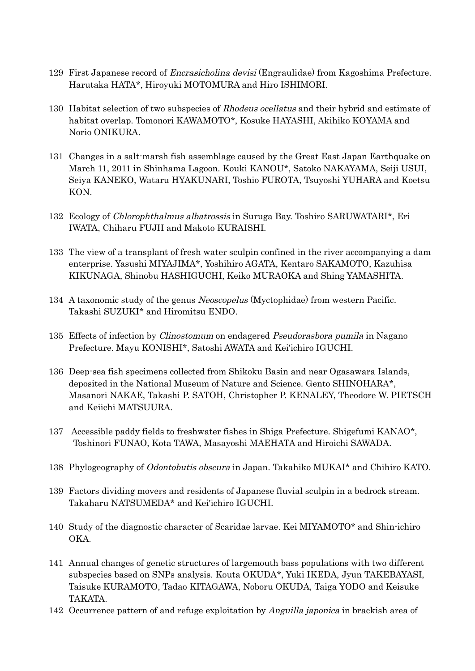- 129 First Japanese record of Encrasicholina devisi (Engraulidae) from Kagoshima Prefecture. Harutaka HATA\*, Hiroyuki MOTOMURA and Hiro ISHIMORI.
- 130 Habitat selection of two subspecies of Rhodeus ocellatus and their hybrid and estimate of habitat overlap. Tomonori KAWAMOTO\*, Kosuke HAYASHI, Akihiko KOYAMA and Norio ONIKURA.
- 131 Changes in a salt-marsh fish assemblage caused by the Great East Japan Earthquake on March 11, 2011 in Shinhama Lagoon. Kouki KANOU\*, Satoko NAKAYAMA, Seiji USUI, Seiya KANEKO, Wataru HYAKUNARI, Toshio FUROTA, Tsuyoshi YUHARA and Koetsu KON.
- 132 Ecology of Chlorophthalmus albatrossis in Suruga Bay. Toshiro SARUWATARI\*, Eri IWATA, Chiharu FUJII and Makoto KURAISHI.
- 133 The view of a transplant of fresh water sculpin confined in the river accompanying a dam enterprise. Yasushi MIYAJIMA\*, Yoshihiro AGATA, Kentaro SAKAMOTO, Kazuhisa KIKUNAGA, Shinobu HASHIGUCHI, Keiko MURAOKA and Shing YAMASHITA.
- 134 A taxonomic study of the genus Neoscopelus (Myctophidae) from western Pacific. Takashi SUZUKI\* and Hiromitsu ENDO.
- 135 Effects of infection by Clinostomum on endagered Pseudorasbora pumila in Nagano Prefecture. Mayu KONISHI\*, Satoshi AWATA and Kei'ichiro IGUCHI.
- 136 Deep-sea fish specimens collected from Shikoku Basin and near Ogasawara Islands, deposited in the National Museum of Nature and Science. Gento SHINOHARA\*, Masanori NAKAE, Takashi P. SATOH, Christopher P. KENALEY, Theodore W. PIETSCH and Keiichi MATSUURA.
- 137 Accessible paddy fields to freshwater fishes in Shiga Prefecture. Shigefumi KANAO\*, Toshinori FUNAO, Kota TAWA, Masayoshi MAEHATA and Hiroichi SAWADA.
- 138 Phylogeography of Odontobutis obscura in Japan. Takahiko MUKAI\* and Chihiro KATO.
- 139 Factors dividing movers and residents of Japanese fluvial sculpin in a bedrock stream. Takaharu NATSUMEDA\* and Kei'ichiro IGUCHI.
- 140 Study of the diagnostic character of Scaridae larvae. Kei MIYAMOTO\* and Shin-ichiro OKA.
- 141 Annual changes of genetic structures of largemouth bass populations with two different subspecies based on SNPs analysis. Kouta OKUDA\*, Yuki IKEDA, Jyun TAKEBAYASI, Taisuke KURAMOTO, Tadao KITAGAWA, Noboru OKUDA, Taiga YODO and Keisuke TAKATA.
- 142 Occurrence pattern of and refuge exploitation by Anguilla japonica in brackish area of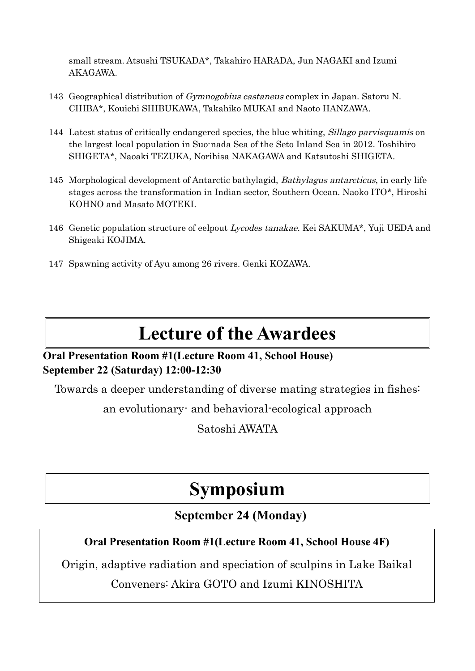small stream. Atsushi TSUKADA\*, Takahiro HARADA, Jun NAGAKI and Izumi AKAGAWA.

- 143 Geographical distribution of Gymnogobius castaneus complex in Japan. Satoru N. CHIBA\*, Kouichi SHIBUKAWA, Takahiko MUKAI and Naoto HANZAWA.
- 144 Latest status of critically endangered species, the blue whiting, Sillago parvisquamis on the largest local population in Suo-nada Sea of the Seto Inland Sea in 2012. Toshihiro SHIGETA\*, Naoaki TEZUKA, Norihisa NAKAGAWA and Katsutoshi SHIGETA.
- 145 Morphological development of Antarctic bathylagid, Bathylagus antarcticus, in early life stages across the transformation in Indian sector, Southern Ocean. Naoko ITO\*, Hiroshi KOHNO and Masato MOTEKI.
- 146 Genetic population structure of eelpout Lycodes tanakae. Kei SAKUMA\*, Yuji UEDA and Shigeaki KOJIMA.
- 147 Spawning activity of Ayu among 26 rivers. Genki KOZAWA.

## **Lecture of the Awardees**

### **Oral Presentation Room #1(Lecture Room 41, School House) September 22 (Saturday) 12:00-12:30**

Towards a deeper understanding of diverse mating strategies in fishes:

an evolutionary- and behavioral-ecological approach

Satoshi AWATA

## **Symposium**

## **September 24 (Monday)**

### **Oral Presentation Room #1(Lecture Room 41, School House 4F)**

Origin, adaptive radiation and speciation of sculpins in Lake Baikal

### Conveners: Akira GOTO and Izumi KINOSHITA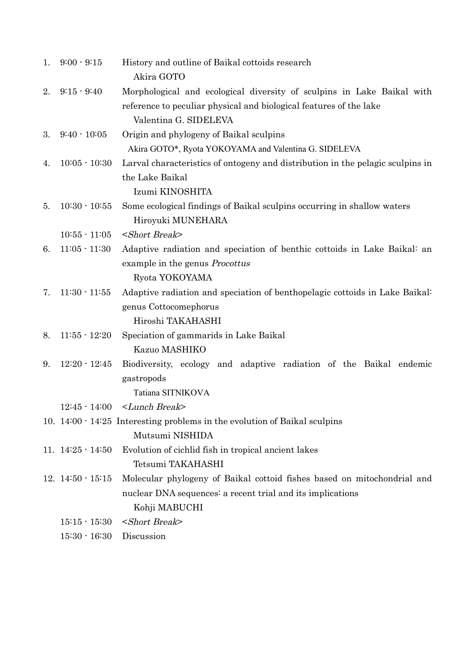| 1. | $9:00 - 9:15$          | History and outline of Baikal cottoids research<br>Akira GOTO                               |
|----|------------------------|---------------------------------------------------------------------------------------------|
| 2. | $9:15 - 9:40$          | Morphological and ecological diversity of sculpins in Lake Baikal with                      |
|    |                        | reference to peculiar physical and biological features of the lake<br>Valentina G. SIDELEVA |
| 3. | $9:40 - 10:05$         | Origin and phylogeny of Baikal sculpins                                                     |
|    |                        | Akira GOTO*, Ryota YOKOYAMA and Valentina G. SIDELEVA                                       |
| 4. | $10:05 - 10:30$        | Larval characteristics of ontogeny and distribution in the pelagic sculpins in              |
|    |                        | the Lake Baikal                                                                             |
|    |                        | Izumi KINOSHITA                                                                             |
| 5. | $10:30 - 10:55$        | Some ecological findings of Baikal sculpins occurring in shallow waters                     |
|    |                        | Hiroyuki MUNEHARA                                                                           |
|    | $10:55 - 11:05$        | <short break=""></short>                                                                    |
| 6. | $11:05 - 11:30$        | Adaptive radiation and speciation of benthic cottoids in Lake Baikal: an                    |
|    |                        | example in the genus <i>Procottus</i>                                                       |
|    |                        | Ryota YOKOYAMA                                                                              |
| 7. | $11:30 - 11:55$        | Adaptive radiation and speciation of benthopelagic cottoids in Lake Baikal:                 |
|    |                        | genus Cottocomephorus                                                                       |
|    |                        | Hiroshi TAKAHASHI                                                                           |
| 8. | $11:55 - 12:20$        | Speciation of gammarids in Lake Baikal                                                      |
|    |                        | Kazuo MASHIKO                                                                               |
| 9. | $12:20 - 12:45$        | Biodiversity, ecology and adaptive radiation of the Baikal endemic                          |
|    |                        | gastropods                                                                                  |
|    |                        | Tatiana SITNIKOVA                                                                           |
|    | $12:45 - 14:00$        | <lunch break=""></lunch>                                                                    |
|    |                        | 10. 14:00 · 14:25 Interesting problems in the evolution of Baikal sculpins                  |
|    |                        | Mutsumi NISHIDA                                                                             |
|    | 11. $14:25 - 14:50$    | Evolution of cichlid fish in tropical ancient lakes                                         |
|    |                        | Tetsumi TAKAHASHI                                                                           |
|    | $12.14:50 \cdot 15:15$ | Molecular phylogeny of Baikal cottoid fishes based on mitochondrial and                     |
|    |                        | nuclear DNA sequences: a recent trial and its implications                                  |
|    |                        | Kohji MABUCHI                                                                               |
|    | $15:15 - 15:30$        | <short break=""></short>                                                                    |
|    | $15:30 - 16:30$        | Discussion                                                                                  |